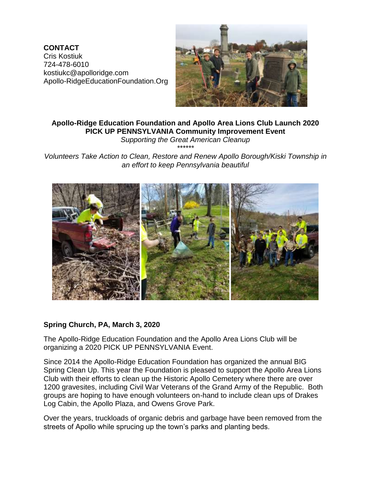**CONTACT** Cris Kostiuk 724-478-6010 kostiukc@apolloridge.com Apollo-RidgeEducationFoundation.Org



# **Apollo-Ridge Education Foundation and Apollo Area Lions Club Launch 2020 PICK UP PENNSYLVANIA Community Improvement Event**

*Supporting the Great American Cleanup \*\*\*\*\*\**

*Volunteers Take Action to Clean, Restore and Renew Apollo Borough/Kiski Township in an effort to keep Pennsylvania beautiful*



## **Spring Church, PA, March 3, 2020**

The Apollo-Ridge Education Foundation and the Apollo Area Lions Club will be organizing a 2020 PICK UP PENNSYLVANIA Event.

Since 2014 the Apollo-Ridge Education Foundation has organized the annual BIG Spring Clean Up. This year the Foundation is pleased to support the Apollo Area Lions Club with their efforts to clean up the Historic Apollo Cemetery where there are over 1200 gravesites, including Civil War Veterans of the Grand Army of the Republic. Both groups are hoping to have enough volunteers on-hand to include clean ups of Drakes Log Cabin, the Apollo Plaza, and Owens Grove Park.

Over the years, truckloads of organic debris and garbage have been removed from the streets of Apollo while sprucing up the town's parks and planting beds.